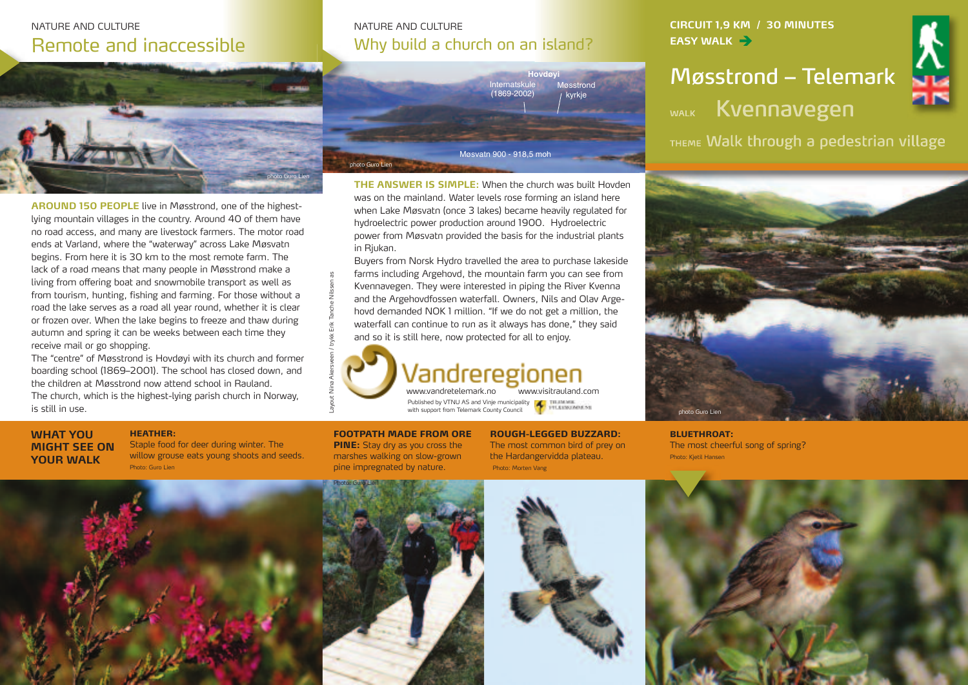## NATURE AND CULTURE Remote and inaccessible



**AROUND 150 PEOPLE** live in Møsstrond, one of the highestlying mountain villages in the country. Around 40 of them have no road access, and many are livestock farmers. The motor road ends at Varland, where the "waterway" across Lake Møsvatn begins. From here it is 30 km to the most remote farm. The lack of a road means that many people in Møsstrond make a living from offering boat and snowmobile transport as well as from tourism, hunting, fishing and farming. For those without a road the lake serves as a road all year round, whether it is clear or frozen over. When the lake begins to freeze and thaw during autumn and spring it can be weeks between each time they receive mail or go shopping.

The "centre" of Møsstrond is Hovdøyi with its church and former boarding school (1869–2001). The school has closed down, and the children at Møsstrond now attend school in Rauland. The church, which is the highest-lying parish church in Norway, is still in use.

#### **HEATHER:**

**WHAT YOU MIGHT SEE ON YOUR WALK**

Staple food for deer during winter. The willow grouse eats young shoots and seeds. Photo: Guro Lien

### NATURE AND CULTURE Why build a church on an island?

**THE ANSWER IS SIMPLE:** When the church was built Hovden was on the mainland. Water levels rose forming an island here when Lake Møsvatn (once 3 lakes) became heavily regulated for hydroelectric power production around 1900. Hydroelectric power from Møsvatn provided the basis for the industrial plants

Møsvatn 900 - 918,5 moh

Internatskule (1869-2002)

**Hovdøyi**

Møsstrond kyrkje

Buyers from Norsk Hydro travelled the area to purchase lakeside farms including Argehovd, the mountain farm you can see from Kvennavegen. They were interested in piping the River Kvenna and the Argehovdfossen waterfall. Owners, Nils and Olav Argehovd demanded NOK 1 million. "If we do not get a million, the waterfall can continue to run as it always has done," they said

Published by VTNU AS and Vinje municipality

and so it is still here, now protected for all to enjoy.

with support from Telemark County Council

**CIRCUIT 1,9 KM / 30 MINUTES EASY** WALK  $\rightarrow$ 

# **Møsstrond – Telemark** WALK Kvennavegen



THEME Walk through a pedestrian village



**BLUETHROAT:** The most cheerful song of spring? Photo: Kjetil Hansen

### **FOOTPATH MADE FROM ORE PINE:** Stay dry as you cross the marshes walking on slow-grown pine impregnated by nature.

in Rjukan.

photo Guro Lien

 $\overline{\phantom{0}}$ 

**ROUGH-LEGGED BUZZARD:** The most common bird of prey on the Hardangervidda plateau. Photo: Morten Vang

www.visitrauland.com